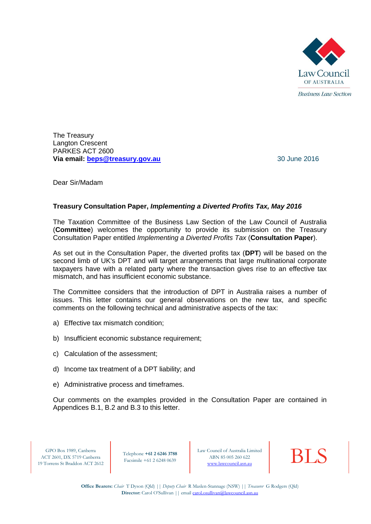

The Treasury Langton Crescent PARKES ACT 2600 **Via email:** [beps@treasury.gov.au](mailto:beps@treasury.gov.au) 30 June 2016

Dear Sir/Madam

## **Treasury Consultation Paper,** *Implementing a Diverted Profits Tax, May 2016*

The Taxation Committee of the Business Law Section of the Law Council of Australia (**Committee**) welcomes the opportunity to provide its submission on the Treasury Consultation Paper entitled *Implementing a Diverted Profits Tax* (**Consultation Paper**).

As set out in the Consultation Paper, the diverted profits tax (**DPT**) will be based on the second limb of UK's DPT and will target arrangements that large multinational corporate taxpayers have with a related party where the transaction gives rise to an effective tax mismatch, and has insufficient economic substance.

The Committee considers that the introduction of DPT in Australia raises a number of issues. This letter contains our general observations on the new tax, and specific comments on the following technical and administrative aspects of the tax:

- a) Effective tax mismatch condition;
- b) Insufficient economic substance requirement:
- c) Calculation of the assessment;
- d) Income tax treatment of a DPT liability; and
- e) Administrative process and timeframes.

Our comments on the examples provided in the Consultation Paper are contained in Appendices B.1, B.2 and B.3 to this letter.

GPO Box 1989, Canberra ACT 2601, DX 5719 Canberra 19 Torrens St Braddon ACT 2612

Telephone **+61 2 6246 3788** Facsimile +61 2 6248 0639

Law Council of Australia Limited<br>
ABN 85 005 260 622<br> [www.lawcouncil.asn.au](http://www.lawcouncil.asn.au/) ABN 85 005 260 622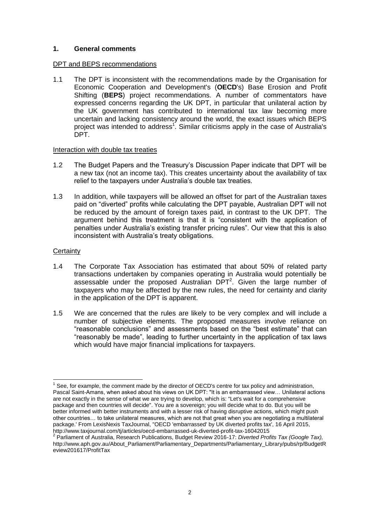## **1. General comments**

### DPT and BEPS recommendations

1.1 The DPT is inconsistent with the recommendations made by the Organisation for Economic Cooperation and Development's (**OECD**'s) Base Erosion and Profit Shifting (**BEPS**) project recommendations. A number of commentators have expressed concerns regarding the UK DPT, in particular that unilateral action by the UK government has contributed to international tax law becoming more uncertain and lacking consistency around the world, the exact issues which BEPS project was intended to address<sup>1</sup>. Similar criticisms apply in the case of Australia's DPT.

#### Interaction with double tax treaties

- 1.2 The Budget Papers and the Treasury's Discussion Paper indicate that DPT will be a new tax (not an income tax). This creates uncertainty about the availability of tax relief to the taxpayers under Australia's double tax treaties.
- 1.3 In addition, while taxpayers will be allowed an offset for part of the Australian taxes paid on "diverted" profits while calculating the DPT payable, Australian DPT will not be reduced by the amount of foreign taxes paid, in contrast to the UK DPT. The argument behind this treatment is that it is "consistent with the application of penalties under Australia's existing transfer pricing rules". Our view that this is also inconsistent with Australia's treaty obligations.

#### **Certainty**

- 1.4 The Corporate Tax Association has estimated that about 50% of related party transactions undertaken by companies operating in Australia would potentially be assessable under the proposed Australian  $DPT<sup>2</sup>$ . Given the large number of taxpayers who may be affected by the new rules, the need for certainty and clarity in the application of the DPT is apparent.
- 1.5 We are concerned that the rules are likely to be very complex and will include a number of subjective elements. The proposed measures involve reliance on "reasonable conclusions" and assessments based on the "best estimate" that can "reasonably be made", leading to further uncertainty in the application of tax laws which would have major financial implications for taxpayers.

<sup>————————————————————&</sup>lt;br><sup>1</sup> See, for example, the comment made by the director of OECD's centre for tax policy and administration, Pascal Saint-Amans, when asked about his views on UK DPT: "It is an embarrassed view… Unilateral actions are not exactly in the sense of what we are trying to develop, which is: "Let's wait for a comprehensive package and then countries will decide". You are a sovereign; you will decide what to do. But you will be better informed with better instruments and with a lesser risk of having disruptive actions, which might push other countries… to take unilateral measures, which are not that great when you are negotiating a multilateral package.' From LexisNexis TaxJournal, "OECD 'embarrassed' by UK diverted profits tax', 16 April 2015, http://www.taxjournal.com/tj/articles/oecd-embarrassed-uk-diverted-profit-tax-16042015 2 Parliament of Australia, Research Publications, Budget Review 2016-17: *Diverted Profits Tax (Google Tax),* 

http://www.aph.gov.au/About\_Parliament/Parliamentary\_Departments/Parliamentary\_Library/pubs/rp/BudgetR eview201617/ProfitTax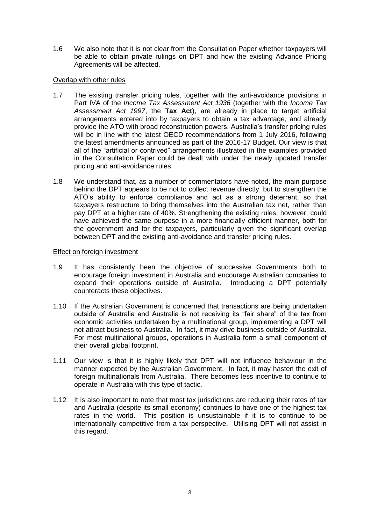1.6 We also note that it is not clear from the Consultation Paper whether taxpayers will be able to obtain private rulings on DPT and how the existing Advance Pricing Agreements will be affected.

# Overlap with other rules

- 1.7 The existing transfer pricing rules, together with the anti-avoidance provisions in Part IVA of the *Income Tax Assessment Act 1936* (together with the *Income Tax Assessment Act 1997*, the **Tax Act**), are already in place to target artificial arrangements entered into by taxpayers to obtain a tax advantage, and already provide the ATO with broad reconstruction powers. Australia's transfer pricing rules will be in line with the latest OECD recommendations from 1 July 2016, following the latest amendments announced as part of the 2016-17 Budget. Our view is that all of the "artificial or contrived" arrangements illustrated in the examples provided in the Consultation Paper could be dealt with under the newly updated transfer pricing and anti-avoidance rules.
- 1.8 We understand that, as a number of commentators have noted, the main purpose behind the DPT appears to be not to collect revenue directly, but to strengthen the ATO's ability to enforce compliance and act as a strong deterrent, so that taxpayers restructure to bring themselves into the Australian tax net, rather than pay DPT at a higher rate of 40%. Strengthening the existing rules, however, could have achieved the same purpose in a more financially efficient manner, both for the government and for the taxpayers, particularly given the significant overlap between DPT and the existing anti-avoidance and transfer pricing rules.

## Effect on foreign investment

- 1.9 It has consistently been the objective of successive Governments both to encourage foreign investment in Australia and encourage Australian companies to expand their operations outside of Australia. Introducing a DPT potentially counteracts these objectives.
- 1.10 If the Australian Government is concerned that transactions are being undertaken outside of Australia and Australia is not receiving its "fair share" of the tax from economic activities undertaken by a multinational group, implementing a DPT will not attract business to Australia. In fact, it may drive business outside of Australia. For most multinational groups, operations in Australia form a small component of their overall global footprint.
- 1.11 Our view is that it is highly likely that DPT will not influence behaviour in the manner expected by the Australian Government. In fact, it may hasten the exit of foreign multinationals from Australia. There becomes less incentive to continue to operate in Australia with this type of tactic.
- 1.12 It is also important to note that most tax jurisdictions are reducing their rates of tax and Australia (despite its small economy) continues to have one of the highest tax rates in the world. This position is unsustainable if it is to continue to be internationally competitive from a tax perspective. Utilising DPT will not assist in this regard.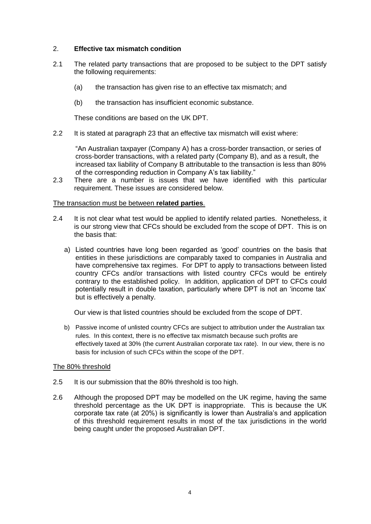# 2. **Effective tax mismatch condition**

- 2.1 The related party transactions that are proposed to be subject to the DPT satisfy the following requirements:
	- (a) the transaction has given rise to an effective tax mismatch; and
	- (b) the transaction has insufficient economic substance.

These conditions are based on the UK DPT.

2.2 It is stated at paragraph 23 that an effective tax mismatch will exist where:

"An Australian taxpayer (Company A) has a cross-border transaction, or series of cross-border transactions, with a related party (Company B), and as a result, the increased tax liability of Company B attributable to the transaction is less than 80% of the corresponding reduction in Company A's tax liability."

2.3 There are a number is issues that we have identified with this particular requirement. These issues are considered below.

### The transaction must be between **related parties**.

- 2.4 It is not clear what test would be applied to identify related parties. Nonetheless, it is our strong view that CFCs should be excluded from the scope of DPT. This is on the basis that:
	- a) Listed countries have long been regarded as 'good' countries on the basis that entities in these jurisdictions are comparably taxed to companies in Australia and have comprehensive tax regimes. For DPT to apply to transactions between listed country CFCs and/or transactions with listed country CFCs would be entirely contrary to the established policy. In addition, application of DPT to CFCs could potentially result in double taxation, particularly where DPT is not an 'income tax' but is effectively a penalty.

Our view is that listed countries should be excluded from the scope of DPT.

b) Passive income of unlisted country CFCs are subject to attribution under the Australian tax rules. In this context, there is no effective tax mismatch because such profits are effectively taxed at 30% (the current Australian corporate tax rate). In our view, there is no basis for inclusion of such CFCs within the scope of the DPT.

### The 80% threshold

- 2.5 It is our submission that the 80% threshold is too high.
- 2.6 Although the proposed DPT may be modelled on the UK regime, having the same threshold percentage as the UK DPT is inappropriate. This is because the UK corporate tax rate (at 20%) is significantly is lower than Australia's and application of this threshold requirement results in most of the tax jurisdictions in the world being caught under the proposed Australian DPT.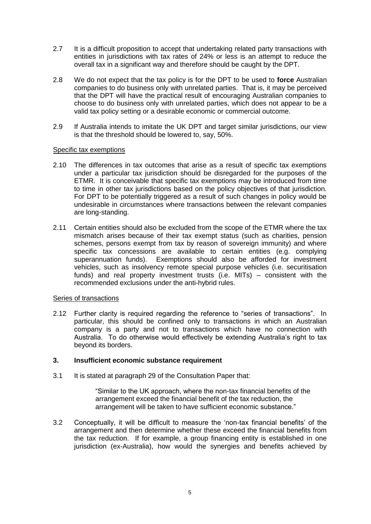- 2.7 It is a difficult proposition to accept that undertaking related party transactions with entities in jurisdictions with tax rates of 24% or less is an attempt to reduce the overall tax in a significant way and therefore should be caught by the DPT.
- 2.8 We do not expect that the tax policy is for the DPT to be used to **force** Australian companies to do business only with unrelated parties. That is, it may be perceived that the DPT will have the practical result of encouraging Australian companies to choose to do business only with unrelated parties, which does not appear to be a valid tax policy setting or a desirable economic or commercial outcome.
- 2.9 If Australia intends to imitate the UK DPT and target similar jurisdictions, our view is that the threshold should be lowered to, say, 50%.

### Specific tax exemptions

- 2.10 The differences in tax outcomes that arise as a result of specific tax exemptions under a particular tax jurisdiction should be disregarded for the purposes of the ETMR. It is conceivable that specific tax exemptions may be introduced from time to time in other tax jurisdictions based on the policy objectives of that jurisdiction. For DPT to be potentially triggered as a result of such changes in policy would be undesirable in circumstances where transactions between the relevant companies are long-standing.
- 2.11 Certain entities should also be excluded from the scope of the ETMR where the tax mismatch arises because of their tax exempt status (such as charities, pension schemes, persons exempt from tax by reason of sovereign immunity) and where specific tax concessions are available to certain entities (e.g. complying superannuation funds). Exemptions should also be afforded for investment vehicles, such as insolvency remote special purpose vehicles (i.e. securitisation funds) and real property investment trusts (i.e. MITs) – consistent with the recommended exclusions under the anti-hybrid rules.

### Series of transactions

2.12 Further clarity is required regarding the reference to "series of transactions". In particular, this should be confined only to transactions in which an Australian company is a party and not to transactions which have no connection with Australia. To do otherwise would effectively be extending Australia's right to tax beyond its borders.

### **3. Insufficient economic substance requirement**

3.1 It is stated at paragraph 29 of the Consultation Paper that:

"Similar to the UK approach, where the non-tax financial benefits of the arrangement exceed the financial benefit of the tax reduction, the arrangement will be taken to have sufficient economic substance."

3.2 Conceptually, it will be difficult to measure the 'non-tax financial benefits' of the arrangement and then determine whether these exceed the financial benefits from the tax reduction. If for example, a group financing entity is established in one iurisdiction (ex-Australia), how would the synergies and benefits achieved by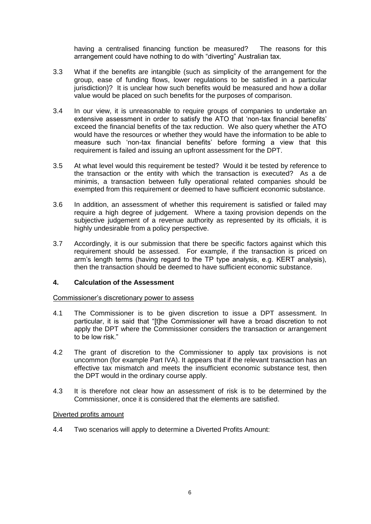having a centralised financing function be measured? The reasons for this arrangement could have nothing to do with "diverting" Australian tax.

- 3.3 What if the benefits are intangible (such as simplicity of the arrangement for the group, ease of funding flows, lower regulations to be satisfied in a particular jurisdiction)? It is unclear how such benefits would be measured and how a dollar value would be placed on such benefits for the purposes of comparison.
- 3.4 In our view, it is unreasonable to require groups of companies to undertake an extensive assessment in order to satisfy the ATO that 'non-tax financial benefits' exceed the financial benefits of the tax reduction. We also query whether the ATO would have the resources or whether they would have the information to be able to measure such 'non-tax financial benefits' before forming a view that this requirement is failed and issuing an upfront assessment for the DPT.
- 3.5 At what level would this requirement be tested? Would it be tested by reference to the transaction or the entity with which the transaction is executed? As a de minimis, a transaction between fully operational related companies should be exempted from this requirement or deemed to have sufficient economic substance.
- 3.6 In addition, an assessment of whether this requirement is satisfied or failed may require a high degree of judgement. Where a taxing provision depends on the subjective judgement of a revenue authority as represented by its officials, it is highly undesirable from a policy perspective.
- 3.7 Accordingly, it is our submission that there be specific factors against which this requirement should be assessed. For example, if the transaction is priced on arm's length terms (having regard to the TP type analysis, e.g. KERT analysis), then the transaction should be deemed to have sufficient economic substance.

# **4. Calculation of the Assessment**

Commissioner's discretionary power to assess

- 4.1 The Commissioner is to be given discretion to issue a DPT assessment. In particular, it is said that "[t]he Commissioner will have a broad discretion to not apply the DPT where the Commissioner considers the transaction or arrangement to be low risk."
- 4.2 The grant of discretion to the Commissioner to apply tax provisions is not uncommon (for example Part IVA). It appears that if the relevant transaction has an effective tax mismatch and meets the insufficient economic substance test, then the DPT would in the ordinary course apply.
- 4.3 It is therefore not clear how an assessment of risk is to be determined by the Commissioner, once it is considered that the elements are satisfied.

### Diverted profits amount

4.4 Two scenarios will apply to determine a Diverted Profits Amount: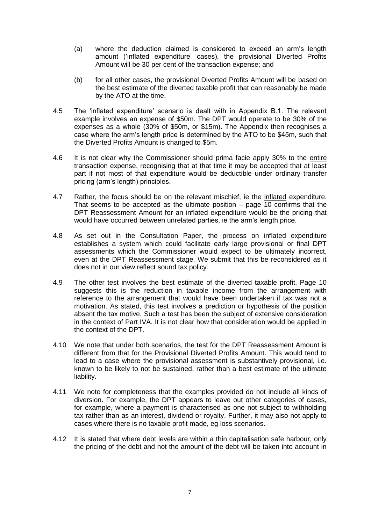- (a) where the deduction claimed is considered to exceed an arm's length amount ('inflated expenditure' cases), the provisional Diverted Profits Amount will be 30 per cent of the transaction expense; and
- (b) for all other cases, the provisional Diverted Profits Amount will be based on the best estimate of the diverted taxable profit that can reasonably be made by the ATO at the time.
- 4.5 The 'inflated expenditure' scenario is dealt with in Appendix B.1. The relevant example involves an expense of \$50m. The DPT would operate to be 30% of the expenses as a whole (30% of \$50m, or \$15m). The Appendix then recognises a case where the arm's length price is determined by the ATO to be \$45m, such that the Diverted Profits Amount is changed to \$5m.
- 4.6 It is not clear why the Commissioner should prima facie apply 30% to the entire transaction expense, recognising that at that time it may be accepted that at least part if not most of that expenditure would be deductible under ordinary transfer pricing (arm's length) principles.
- 4.7 Rather, the focus should be on the relevant mischief, ie the inflated expenditure. That seems to be accepted as the ultimate position – page 10 confirms that the DPT Reassessment Amount for an inflated expenditure would be the pricing that would have occurred between unrelated parties, ie the arm's length price.
- 4.8 As set out in the Consultation Paper, the process on inflated expenditure establishes a system which could facilitate early large provisional or final DPT assessments which the Commissioner would expect to be ultimately incorrect, even at the DPT Reassessment stage. We submit that this be reconsidered as it does not in our view reflect sound tax policy.
- 4.9 The other test involves the best estimate of the diverted taxable profit. Page 10 suggests this is the reduction in taxable income from the arrangement with reference to the arrangement that would have been undertaken if tax was not a motivation. As stated, this test involves a prediction or hypothesis of the position absent the tax motive. Such a test has been the subject of extensive consideration in the context of Part IVA. It is not clear how that consideration would be applied in the context of the DPT.
- 4.10 We note that under both scenarios, the test for the DPT Reassessment Amount is different from that for the Provisional Diverted Profits Amount. This would tend to lead to a case where the provisional assessment is substantively provisional, i.e. known to be likely to not be sustained, rather than a best estimate of the ultimate liability.
- 4.11 We note for completeness that the examples provided do not include all kinds of diversion. For example, the DPT appears to leave out other categories of cases, for example, where a payment is characterised as one not subject to withholding tax rather than as an interest, dividend or royalty. Further, it may also not apply to cases where there is no taxable profit made, eg loss scenarios.
- 4.12 It is stated that where debt levels are within a thin capitalisation safe harbour, only the pricing of the debt and not the amount of the debt will be taken into account in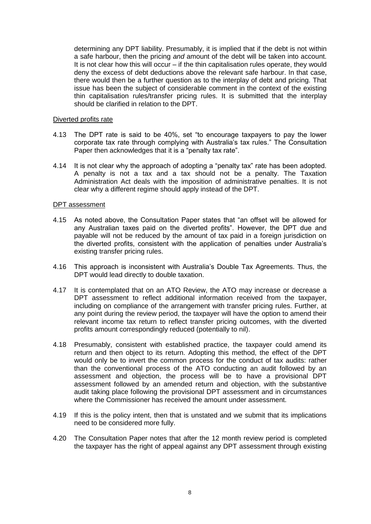determining any DPT liability. Presumably, it is implied that if the debt is not within a safe harbour, then the pricing *and* amount of the debt will be taken into account. It is not clear how this will occur – if the thin capitalisation rules operate, they would deny the excess of debt deductions above the relevant safe harbour. In that case, there would then be a further question as to the interplay of debt and pricing. That issue has been the subject of considerable comment in the context of the existing thin capitalisation rules/transfer pricing rules. It is submitted that the interplay should be clarified in relation to the DPT.

### Diverted profits rate

- 4.13 The DPT rate is said to be 40%, set "to encourage taxpayers to pay the lower corporate tax rate through complying with Australia's tax rules." The Consultation Paper then acknowledges that it is a "penalty tax rate".
- 4.14 It is not clear why the approach of adopting a "penalty tax" rate has been adopted. A penalty is not a tax and a tax should not be a penalty. The Taxation Administration Act deals with the imposition of administrative penalties. It is not clear why a different regime should apply instead of the DPT.

### DPT assessment

- 4.15 As noted above, the Consultation Paper states that "an offset will be allowed for any Australian taxes paid on the diverted profits". However, the DPT due and payable will not be reduced by the amount of tax paid in a foreign jurisdiction on the diverted profits, consistent with the application of penalties under Australia's existing transfer pricing rules.
- 4.16 This approach is inconsistent with Australia's Double Tax Agreements. Thus, the DPT would lead directly to double taxation.
- 4.17 It is contemplated that on an ATO Review, the ATO may increase or decrease a DPT assessment to reflect additional information received from the taxpayer, including on compliance of the arrangement with transfer pricing rules. Further, at any point during the review period, the taxpayer will have the option to amend their relevant income tax return to reflect transfer pricing outcomes, with the diverted profits amount correspondingly reduced (potentially to nil).
- 4.18 Presumably, consistent with established practice, the taxpayer could amend its return and then object to its return. Adopting this method, the effect of the DPT would only be to invert the common process for the conduct of tax audits: rather than the conventional process of the ATO conducting an audit followed by an assessment and objection, the process will be to have a provisional DPT assessment followed by an amended return and objection, with the substantive audit taking place following the provisional DPT assessment and in circumstances where the Commissioner has received the amount under assessment.
- 4.19 If this is the policy intent, then that is unstated and we submit that its implications need to be considered more fully.
- 4.20 The Consultation Paper notes that after the 12 month review period is completed the taxpayer has the right of appeal against any DPT assessment through existing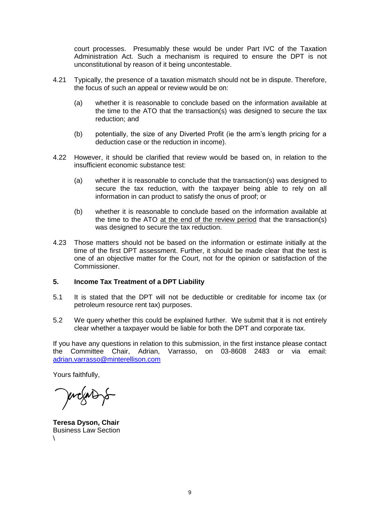court processes. Presumably these would be under Part IVC of the Taxation Administration Act. Such a mechanism is required to ensure the DPT is not unconstitutional by reason of it being uncontestable.

- 4.21 Typically, the presence of a taxation mismatch should not be in dispute. Therefore, the focus of such an appeal or review would be on:
	- (a) whether it is reasonable to conclude based on the information available at the time to the ATO that the transaction(s) was designed to secure the tax reduction; and
	- (b) potentially, the size of any Diverted Profit (ie the arm's length pricing for a deduction case or the reduction in income).
- 4.22 However, it should be clarified that review would be based on, in relation to the insufficient economic substance test:
	- (a) whether it is reasonable to conclude that the transaction(s) was designed to secure the tax reduction, with the taxpayer being able to rely on all information in can product to satisfy the onus of proof; or
	- (b) whether it is reasonable to conclude based on the information available at the time to the ATO at the end of the review period that the transaction(s) was designed to secure the tax reduction.
- 4.23 Those matters should not be based on the information or estimate initially at the time of the first DPT assessment. Further, it should be made clear that the test is one of an objective matter for the Court, not for the opinion or satisfaction of the Commissioner.

## **5. Income Tax Treatment of a DPT Liability**

- 5.1 It is stated that the DPT will not be deductible or creditable for income tax (or petroleum resource rent tax) purposes.
- 5.2 We query whether this could be explained further. We submit that it is not entirely clear whether a taxpayer would be liable for both the DPT and corporate tax.

If you have any questions in relation to this submission, in the first instance please contact the Committee Chair, Adrian, Varrasso, on 03-8608 2483 or via email: [adrian.varrasso@minterellison.com](mailto:adrian.varrasso@minterellison.com)

Yours faithfully,

prograp s

**Teresa Dyson, Chair** Business Law Section  $\lambda$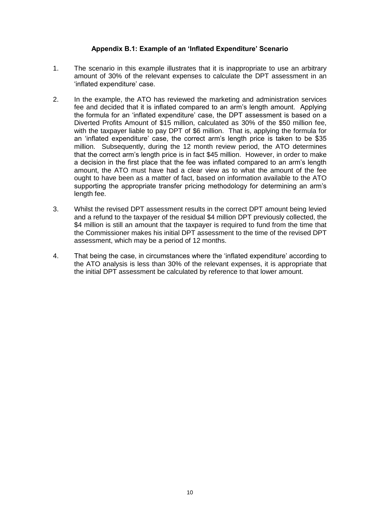# **Appendix B.1: Example of an 'Inflated Expenditure' Scenario**

- 1. The scenario in this example illustrates that it is inappropriate to use an arbitrary amount of 30% of the relevant expenses to calculate the DPT assessment in an 'inflated expenditure' case.
- 2. In the example, the ATO has reviewed the marketing and administration services fee and decided that it is inflated compared to an arm's length amount. Applying the formula for an 'inflated expenditure' case, the DPT assessment is based on a Diverted Profits Amount of \$15 million, calculated as 30% of the \$50 million fee, with the taxpayer liable to pay DPT of \$6 million. That is, applying the formula for an 'inflated expenditure' case, the correct arm's length price is taken to be \$35 million. Subsequently, during the 12 month review period, the ATO determines that the correct arm's length price is in fact \$45 million. However, in order to make a decision in the first place that the fee was inflated compared to an arm's length amount, the ATO must have had a clear view as to what the amount of the fee ought to have been as a matter of fact, based on information available to the ATO supporting the appropriate transfer pricing methodology for determining an arm's length fee.
- 3. Whilst the revised DPT assessment results in the correct DPT amount being levied and a refund to the taxpayer of the residual \$4 million DPT previously collected, the \$4 million is still an amount that the taxpayer is required to fund from the time that the Commissioner makes his initial DPT assessment to the time of the revised DPT assessment, which may be a period of 12 months.
- 4. That being the case, in circumstances where the 'inflated expenditure' according to the ATO analysis is less than 30% of the relevant expenses, it is appropriate that the initial DPT assessment be calculated by reference to that lower amount.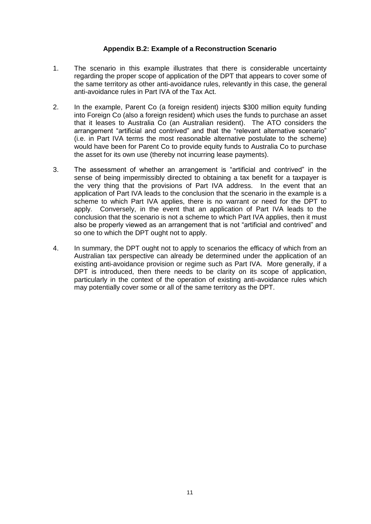## **Appendix B.2: Example of a Reconstruction Scenario**

- 1. The scenario in this example illustrates that there is considerable uncertainty regarding the proper scope of application of the DPT that appears to cover some of the same territory as other anti-avoidance rules, relevantly in this case, the general anti-avoidance rules in Part IVA of the Tax Act.
- 2. In the example, Parent Co (a foreign resident) injects \$300 million equity funding into Foreign Co (also a foreign resident) which uses the funds to purchase an asset that it leases to Australia Co (an Australian resident). The ATO considers the arrangement "artificial and contrived" and that the "relevant alternative scenario" (i.e. in Part IVA terms the most reasonable alternative postulate to the scheme) would have been for Parent Co to provide equity funds to Australia Co to purchase the asset for its own use (thereby not incurring lease payments).
- 3. The assessment of whether an arrangement is "artificial and contrived" in the sense of being impermissibly directed to obtaining a tax benefit for a taxpayer is the very thing that the provisions of Part IVA address. In the event that an application of Part IVA leads to the conclusion that the scenario in the example is a scheme to which Part IVA applies, there is no warrant or need for the DPT to apply. Conversely, in the event that an application of Part IVA leads to the conclusion that the scenario is not a scheme to which Part IVA applies, then it must also be properly viewed as an arrangement that is not "artificial and contrived" and so one to which the DPT ought not to apply.
- 4. In summary, the DPT ought not to apply to scenarios the efficacy of which from an Australian tax perspective can already be determined under the application of an existing anti-avoidance provision or regime such as Part IVA. More generally, if a DPT is introduced, then there needs to be clarity on its scope of application, particularly in the context of the operation of existing anti-avoidance rules which may potentially cover some or all of the same territory as the DPT.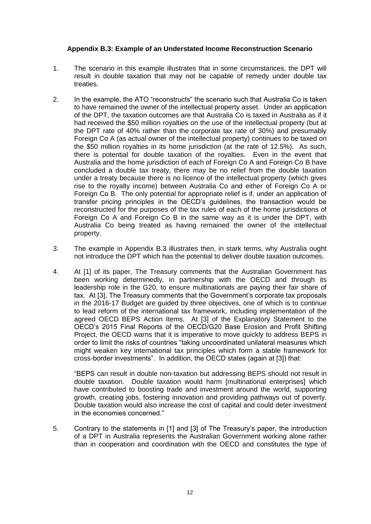# **Appendix B.3: Example of an Understated Income Reconstruction Scenario**

- 1. The scenario in this example illustrates that in some circumstances, the DPT will result in double taxation that may not be capable of remedy under double tax treaties.
- 2. In the example, the ATO "reconstructs" the scenario such that Australia Co is taken to have remained the owner of the intellectual property asset. Under an application of the DPT, the taxation outcomes are that Australia Co is taxed in Australia as if it had received the \$50 million royalties on the use of the intellectual property (but at the DPT rate of 40% rather than the corporate tax rate of 30%) and presumably Foreign Co A (as actual owner of the intellectual property) continues to be taxed on the \$50 million royalties in its home jurisdiction (at the rate of 12.5%). As such, there is potential for double taxation of the royalties. Even in the event that Australia and the home jurisdiction of each of Foreign Co A and Foreign Co B have concluded a double tax treaty, there may be no relief from the double taxation under a treaty because there is no licence of the intellectual property (which gives rise to the royalty income) between Australia Co and either of Foreign Co A or Foreign Co B. The only potential for appropriate relief is if, under an application of transfer pricing principles in the OECD's guidelines, the transaction would be reconstructed for the purposes of the tax rules of each of the home jurisdictions of Foreign Co A and Foreign Co B in the same way as it is under the DPT, with Australia Co being treated as having remained the owner of the intellectual property.
- 3. The example in Appendix B.3 illustrates then, in stark terms, why Australia ought not introduce the DPT which has the potential to deliver double taxation outcomes.
- 4. At [1] of its paper, The Treasury comments that the Australian Government has been working determinedly, in partnership with the OECD and through its leadership role in the G20, to ensure multinationals are paying their fair share of tax. At [3], The Treasury comments that the Government's corporate tax proposals in the 2016-17 Budget are guided by three objectives, one of which is to continue to lead reform of the international tax framework, including implementation of the agreed OECD BEPS Action Items. At [3] of the Explanatory Statement to the OECD's 2015 Final Reports of the OECD/G20 Base Erosion and Profit Shifting Project, the OECD warns that it is imperative to move quickly to address BEPS in order to limit the risks of countries "taking uncoordinated unilateral measures which might weaken key international tax principles which form a stable framework for cross-border investments". In addition, the OECD states (again at [3]) that:

"BEPS can result in double non-taxation but addressing BEPS should not result in double taxation. Double taxation would harm [multinational enterprises] which have contributed to boosting trade and investment around the world, supporting growth, creating jobs, fostering innovation and providing pathways out of poverty. Double taxation would also increase the cost of capital and could deter investment in the economies concerned."

5. Contrary to the statements in [1] and [3] of The Treasury's paper, the introduction of a DPT in Australia represents the Australian Government working alone rather than in cooperation and coordination with the OECD and constitutes the type of